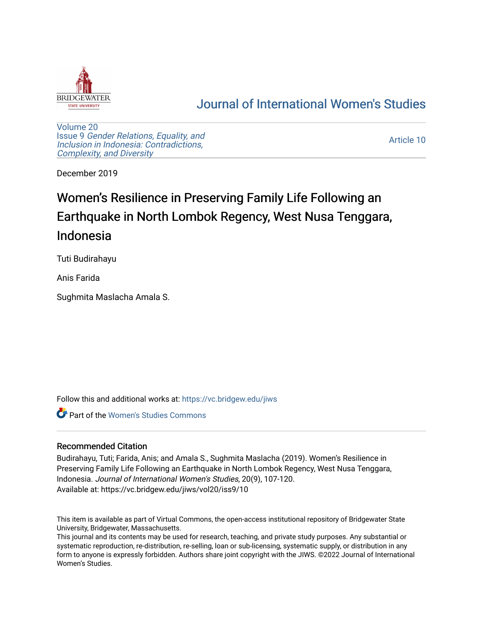

# [Journal of International Women's Studies](https://vc.bridgew.edu/jiws)

[Volume 20](https://vc.bridgew.edu/jiws/vol20) Issue 9 [Gender Relations, Equality, and](https://vc.bridgew.edu/jiws/vol20/iss9) [Inclusion in Indonesia: Contradictions,](https://vc.bridgew.edu/jiws/vol20/iss9) [Complexity, and Diversity](https://vc.bridgew.edu/jiws/vol20/iss9) 

[Article 10](https://vc.bridgew.edu/jiws/vol20/iss9/10) 

December 2019

# Women's Resilience in Preserving Family Life Following an Earthquake in North Lombok Regency, West Nusa Tenggara, Indonesia

Tuti Budirahayu

Anis Farida

Sughmita Maslacha Amala S.

Follow this and additional works at: [https://vc.bridgew.edu/jiws](https://vc.bridgew.edu/jiws?utm_source=vc.bridgew.edu%2Fjiws%2Fvol20%2Fiss9%2F10&utm_medium=PDF&utm_campaign=PDFCoverPages)

Part of the [Women's Studies Commons](http://network.bepress.com/hgg/discipline/561?utm_source=vc.bridgew.edu%2Fjiws%2Fvol20%2Fiss9%2F10&utm_medium=PDF&utm_campaign=PDFCoverPages) 

# Recommended Citation

Budirahayu, Tuti; Farida, Anis; and Amala S., Sughmita Maslacha (2019). Women's Resilience in Preserving Family Life Following an Earthquake in North Lombok Regency, West Nusa Tenggara, Indonesia. Journal of International Women's Studies, 20(9), 107-120. Available at: https://vc.bridgew.edu/jiws/vol20/iss9/10

This item is available as part of Virtual Commons, the open-access institutional repository of Bridgewater State University, Bridgewater, Massachusetts.

This journal and its contents may be used for research, teaching, and private study purposes. Any substantial or systematic reproduction, re-distribution, re-selling, loan or sub-licensing, systematic supply, or distribution in any form to anyone is expressly forbidden. Authors share joint copyright with the JIWS. ©2022 Journal of International Women's Studies.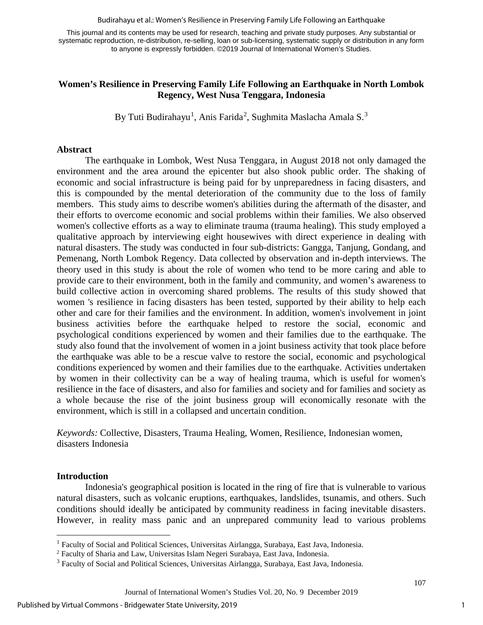Budirahayu et al.: Women's Resilience in Preserving Family Life Following an Earthquake

This journal and its contents may be used for research, teaching and private study purposes. Any substantial or systematic reproduction, re-distribution, re-selling, loan or sub-licensing, systematic supply or distribution in any form to anyone is expressly forbidden. ©2019 Journal of International Women's Studies.

# **Women's Resilience in Preserving Family Life Following an Earthquake in North Lombok Regency, West Nusa Tenggara, Indonesia**

By Tuti Budirahayu<sup>[1](#page-1-0)</sup>, Anis Farida<sup>[2](#page-1-1)</sup>, Sughmita Maslacha Amala S.<sup>[3](#page-1-2)</sup>

#### **Abstract**

The earthquake in Lombok, West Nusa Tenggara, in August 2018 not only damaged the environment and the area around the epicenter but also shook public order. The shaking of economic and social infrastructure is being paid for by unpreparedness in facing disasters, and this is compounded by the mental deterioration of the community due to the loss of family members. This study aims to describe women's abilities during the aftermath of the disaster, and their efforts to overcome economic and social problems within their families. We also observed women's collective efforts as a way to eliminate trauma (trauma healing). This study employed a qualitative approach by interviewing eight housewives with direct experience in dealing with natural disasters. The study was conducted in four sub-districts: Gangga, Tanjung, Gondang, and Pemenang, North Lombok Regency. Data collected by observation and in-depth interviews. The theory used in this study is about the role of women who tend to be more caring and able to provide care to their environment, both in the family and community, and women's awareness to build collective action in overcoming shared problems. The results of this study showed that women 's resilience in facing disasters has been tested, supported by their ability to help each other and care for their families and the environment. In addition, women's involvement in joint business activities before the earthquake helped to restore the social, economic and psychological conditions experienced by women and their families due to the earthquake. The study also found that the involvement of women in a joint business activity that took place before the earthquake was able to be a rescue valve to restore the social, economic and psychological conditions experienced by women and their families due to the earthquake. Activities undertaken by women in their collectivity can be a way of healing trauma, which is useful for women's resilience in the face of disasters, and also for families and society and for families and society as a whole because the rise of the joint business group will economically resonate with the environment, which is still in a collapsed and uncertain condition.

*Keywords:* Collective, Disasters, Trauma Healing, Women, Resilience, Indonesian women, disasters Indonesia

# **Introduction**

Indonesia's geographical position is located in the ring of fire that is vulnerable to various natural disasters, such as volcanic eruptions, earthquakes, landslides, tsunamis, and others. Such conditions should ideally be anticipated by community readiness in facing inevitable disasters. However, in reality mass panic and an unprepared community lead to various problems

<span id="page-1-0"></span><sup>&</sup>lt;sup>1</sup> Faculty of Social and Political Sciences, Universitas Airlangga, Surabaya, East Java, Indonesia.

<span id="page-1-2"></span><span id="page-1-1"></span> $^2$  Faculty of Sharia and Law, Universitas Islam Negeri Surabaya, East Java, Indonesia.<br> $^3$  Faculty of Social and Political Sciences, Universitas Airlangga, Surabaya, East Java, Indonesia.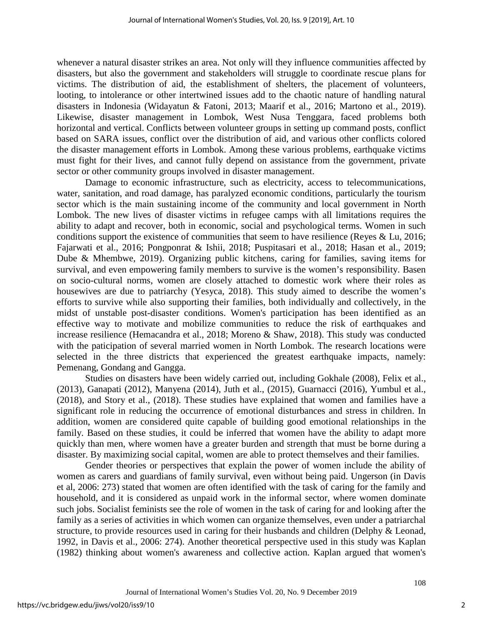whenever a natural disaster strikes an area. Not only will they influence communities affected by disasters, but also the government and stakeholders will struggle to coordinate rescue plans for victims. The distribution of aid, the establishment of shelters, the placement of volunteers, looting, to intolerance or other intertwined issues add to the chaotic nature of handling natural disasters in Indonesia (Widayatun & Fatoni, 2013; Maarif et al., 2016; Martono et al., 2019). Likewise, disaster management in Lombok, West Nusa Tenggara, faced problems both horizontal and vertical. Conflicts between volunteer groups in setting up command posts, conflict based on SARA issues, conflict over the distribution of aid, and various other conflicts colored the disaster management efforts in Lombok. Among these various problems, earthquake victims must fight for their lives, and cannot fully depend on assistance from the government, private sector or other community groups involved in disaster management.

Damage to economic infrastructure, such as electricity, access to telecommunications, water, sanitation, and road damage, has paralyzed economic conditions, particularly the tourism sector which is the main sustaining income of the community and local government in North Lombok. The new lives of disaster victims in refugee camps with all limitations requires the ability to adapt and recover, both in economic, social and psychological terms. Women in such conditions support the existence of communities that seem to have resilience (Reyes & Lu, 2016; Fajarwati et al., 2016; Pongponrat & Ishii, 2018; Puspitasari et al., 2018; Hasan et al., 2019; Dube & Mhembwe, 2019). Organizing public kitchens, caring for families, saving items for survival, and even empowering family members to survive is the women's responsibility. Basen on socio-cultural norms, women are closely attached to domestic work where their roles as housewives are due to patriarchy (Yesyca, 2018). This study aimed to describe the women's efforts to survive while also supporting their families, both individually and collectively, in the midst of unstable post-disaster conditions. Women's participation has been identified as an effective way to motivate and mobilize communities to reduce the risk of earthquakes and increase resilience (Hemacandra et al., 2018; Moreno & Shaw, 2018). This study was conducted with the paticipation of several married women in North Lombok. The research locations were selected in the three districts that experienced the greatest earthquake impacts, namely: Pemenang, Gondang and Gangga.

Studies on disasters have been widely carried out, including Gokhale (2008), Felix et al., (2013), Ganapati (2012), Manyena (2014), Juth et al., (2015), Guarnacci (2016), Yumbul et al., (2018), and Story et al., (2018). These studies have explained that women and families have a significant role in reducing the occurrence of emotional disturbances and stress in children. In addition, women are considered quite capable of building good emotional relationships in the family. Based on these studies, it could be inferred that women have the ability to adapt more quickly than men, where women have a greater burden and strength that must be borne during a disaster. By maximizing social capital, women are able to protect themselves and their families.

Gender theories or perspectives that explain the power of women include the ability of women as carers and guardians of family survival, even without being paid. Ungerson (in Davis et al, 2006: 273) stated that women are often identified with the task of caring for the family and household, and it is considered as unpaid work in the informal sector, where women dominate such jobs. Socialist feminists see the role of women in the task of caring for and looking after the family as a series of activities in which women can organize themselves, even under a patriarchal structure, to provide resources used in caring for their husbands and children (Delphy & Leonad, 1992, in Davis et al., 2006: 274). Another theoretical perspective used in this study was Kaplan (1982) thinking about women's awareness and collective action. Kaplan argued that women's

2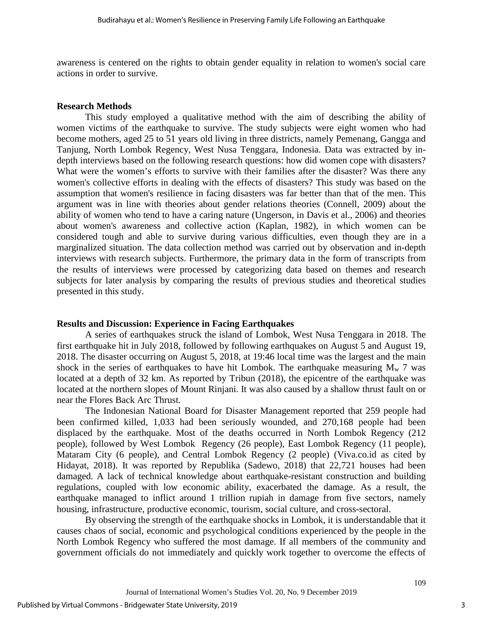awareness is centered on the rights to obtain gender equality in relation to women's social care actions in order to survive.

#### **Research Methods**

This study employed a qualitative method with the aim of describing the ability of women victims of the earthquake to survive. The study subjects were eight women who had become mothers, aged 25 to 51 years old living in three districts, namely Pemenang, Gangga and Tanjung, North Lombok Regency, West Nusa Tenggara, Indonesia. Data was extracted by indepth interviews based on the following research questions: how did women cope with disasters? What were the women's efforts to survive with their families after the disaster? Was there any women's collective efforts in dealing with the effects of disasters? This study was based on the assumption that women's resilience in facing disasters was far better than that of the men. This argument was in line with theories about gender relations theories (Connell, 2009) about the ability of women who tend to have a caring nature (Ungerson, in Davis et al., 2006) and theories about women's awareness and collective action (Kaplan, 1982), in which women can be considered tough and able to survive during various difficulties, even though they are in a marginalized situation. The data collection method was carried out by observation and in-depth interviews with research subjects. Furthermore, the primary data in the form of transcripts from the results of interviews were processed by categorizing data based on themes and research subjects for later analysis by comparing the results of previous studies and theoretical studies presented in this study.

#### **Results and Discussion: Experience in Facing Earthquakes**

A series of earthquakes struck the island of Lombok, West Nusa Tenggara in 2018. The first earthquake hit in July 2018, followed by following earthquakes on August 5 and August 19, 2018. The disaster occurring on August 5, 2018, at 19:46 local time was the largest and the main shock in the series of earthquakes to have hit Lombok. The earthquake measuring  $M_w$  7 was located at a depth of 32 km. As reported by Tribun (2018), the epicentre of the earthquake was located at the northern slopes of Mount Rinjani. It was also caused by a shallow thrust fault on or near the Flores Back Arc Thrust.

The Indonesian National Board for Disaster Management reported that 259 people had been confirmed killed, 1,033 had been seriously wounded, and 270,168 people had been displaced by the earthquake. Most of the deaths occurred in North Lombok Regency (212 people), followed by West Lombok Regency (26 people), East Lombok Regency (11 people), Mataram City (6 people), and Central Lombok Regency (2 people) (Viva.co.id as cited by Hidayat, 2018). It was reported by Republika (Sadewo, 2018) that 22,721 houses had been damaged. A lack of technical knowledge about earthquake-resistant construction and building regulations, coupled with low economic ability, exacerbated the damage. As a result, the earthquake managed to inflict around 1 trillion rupiah in damage from five sectors, namely housing, infrastructure, productive economic, tourism, social culture, and cross-sectoral.

By observing the strength of the earthquake shocks in Lombok, it is understandable that it causes chaos of social, economic and psychological conditions experienced by the people in the North Lombok Regency who suffered the most damage. If all members of the community and government officials do not immediately and quickly work together to overcome the effects of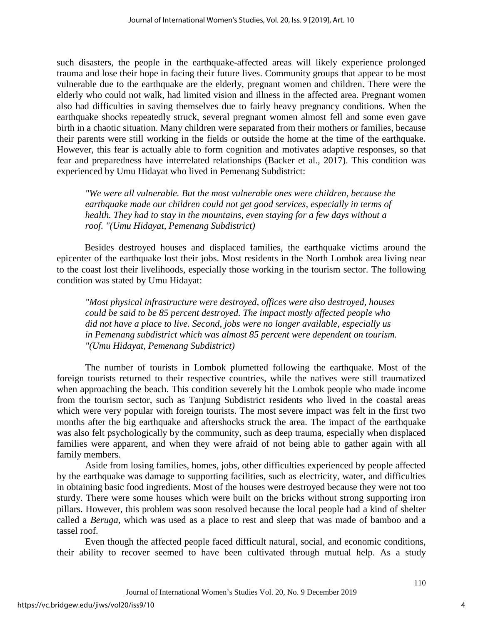such disasters, the people in the earthquake-affected areas will likely experience prolonged trauma and lose their hope in facing their future lives. Community groups that appear to be most vulnerable due to the earthquake are the elderly, pregnant women and children. There were the elderly who could not walk, had limited vision and illness in the affected area. Pregnant women also had difficulties in saving themselves due to fairly heavy pregnancy conditions. When the earthquake shocks repeatedly struck, several pregnant women almost fell and some even gave birth in a chaotic situation. Many children were separated from their mothers or families, because their parents were still working in the fields or outside the home at the time of the earthquake. However, this fear is actually able to form cognition and motivates adaptive responses, so that fear and preparedness have interrelated relationships (Backer et al., 2017). This condition was experienced by Umu Hidayat who lived in Pemenang Subdistrict:

*"We were all vulnerable. But the most vulnerable ones were children, because the earthquake made our children could not get good services, especially in terms of health. They had to stay in the mountains, even staying for a few days without a roof. "(Umu Hidayat, Pemenang Subdistrict)* 

Besides destroyed houses and displaced families, the earthquake victims around the epicenter of the earthquake lost their jobs. Most residents in the North Lombok area living near to the coast lost their livelihoods, especially those working in the tourism sector. The following condition was stated by Umu Hidayat:

*"Most physical infrastructure were destroyed, offices were also destroyed, houses could be said to be 85 percent destroyed. The impact mostly affected people who did not have a place to live. Second, jobs were no longer available, especially us in Pemenang subdistrict which was almost 85 percent were dependent on tourism. "(Umu Hidayat, Pemenang Subdistrict)*

The number of tourists in Lombok plumetted following the earthquake. Most of the foreign tourists returned to their respective countries, while the natives were still traumatized when approaching the beach. This condition severely hit the Lombok people who made income from the tourism sector, such as Tanjung Subdistrict residents who lived in the coastal areas which were very popular with foreign tourists. The most severe impact was felt in the first two months after the big earthquake and aftershocks struck the area. The impact of the earthquake was also felt psychologically by the community, such as deep trauma, especially when displaced families were apparent, and when they were afraid of not being able to gather again with all family members.

Aside from losing families, homes, jobs, other difficulties experienced by people affected by the earthquake was damage to supporting facilities, such as electricity, water, and difficulties in obtaining basic food ingredients. Most of the houses were destroyed because they were not too sturdy. There were some houses which were built on the bricks without strong supporting iron pillars. However, this problem was soon resolved because the local people had a kind of shelter called a *Beruga*, which was used as a place to rest and sleep that was made of bamboo and a tassel roof.

Even though the affected people faced difficult natural, social, and economic conditions, their ability to recover seemed to have been cultivated through mutual help. As a study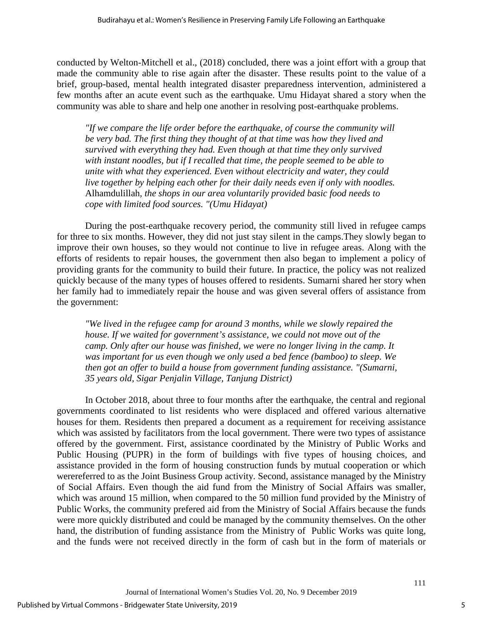conducted by Welton-Mitchell et al., (2018) concluded, there was a joint effort with a group that made the community able to rise again after the disaster. These results point to the value of a brief, group-based, mental health integrated disaster preparedness intervention, administered a few months after an acute event such as the earthquake. Umu Hidayat shared a story when the community was able to share and help one another in resolving post-earthquake problems.

*"If we compare the life order before the earthquake, of course the community will be very bad. The first thing they thought of at that time was how they lived and survived with everything they had. Even though at that time they only survived with instant noodles, but if I recalled that time, the people seemed to be able to unite with what they experienced. Even without electricity and water, they could live together by helping each other for their daily needs even if only with noodles.*  Alhamdulillah*, the shops in our area voluntarily provided basic food needs to cope with limited food sources. "(Umu Hidayat)* 

During the post-earthquake recovery period, the community still lived in refugee camps for three to six months. However, they did not just stay silent in the camps.They slowly began to improve their own houses, so they would not continue to live in refugee areas. Along with the efforts of residents to repair houses, the government then also began to implement a policy of providing grants for the community to build their future. In practice, the policy was not realized quickly because of the many types of houses offered to residents. Sumarni shared her story when her family had to immediately repair the house and was given several offers of assistance from the government:

*"We lived in the refugee camp for around 3 months, while we slowly repaired the house. If we waited for government's assistance, we could not move out of the camp. Only after our house was finished, we were no longer living in the camp. It was important for us even though we only used a bed fence (bamboo) to sleep. We then got an offer to build a house from government funding assistance. "(Sumarni, 35 years old, Sigar Penjalin Village, Tanjung District)* 

In October 2018, about three to four months after the earthquake, the central and regional governments coordinated to list residents who were displaced and offered various alternative houses for them. Residents then prepared a document as a requirement for receiving assistance which was assisted by facilitators from the local government. There were two types of assistance offered by the government. First, assistance coordinated by the Ministry of Public Works and Public Housing (PUPR) in the form of buildings with five types of housing choices, and assistance provided in the form of housing construction funds by mutual cooperation or which werereferred to as the Joint Business Group activity. Second, assistance managed by the Ministry of Social Affairs. Even though the aid fund from the Ministry of Social Affairs was smaller, which was around 15 million, when compared to the 50 million fund provided by the Ministry of Public Works, the community prefered aid from the Ministry of Social Affairs because the funds were more quickly distributed and could be managed by the community themselves. On the other hand, the distribution of funding assistance from the Ministry of Public Works was quite long, and the funds were not received directly in the form of cash but in the form of materials or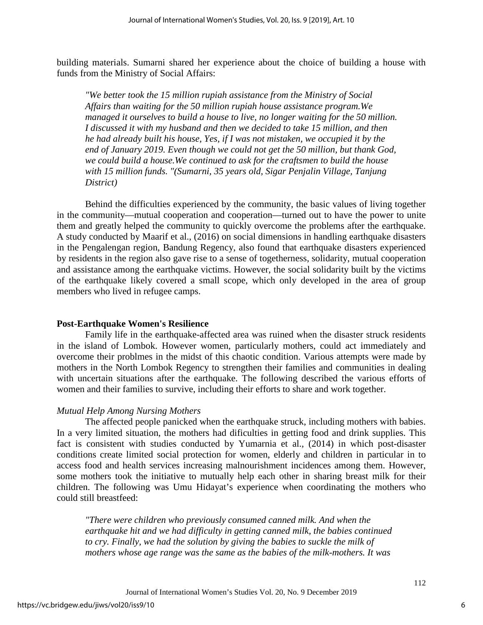building materials. Sumarni shared her experience about the choice of building a house with funds from the Ministry of Social Affairs:

*"We better took the 15 million rupiah assistance from the Ministry of Social Affairs than waiting for the 50 million rupiah house assistance program.We managed it ourselves to build a house to live, no longer waiting for the 50 million. I discussed it with my husband and then we decided to take 15 million, and then he had already built his house, Yes, if I was not mistaken, we occupied it by the end of January 2019. Even though we could not get the 50 million, but thank God, we could build a house.We continued to ask for the craftsmen to build the house with 15 million funds. "(Sumarni, 35 years old, Sigar Penjalin Village, Tanjung District)*

Behind the difficulties experienced by the community, the basic values of living together in the community—mutual cooperation and cooperation—turned out to have the power to unite them and greatly helped the community to quickly overcome the problems after the earthquake. A study conducted by Maarif et al., (2016) on social dimensions in handling earthquake disasters in the Pengalengan region, Bandung Regency, also found that earthquake disasters experienced by residents in the region also gave rise to a sense of togetherness, solidarity, mutual cooperation and assistance among the earthquake victims. However, the social solidarity built by the victims of the earthquake likely covered a small scope, which only developed in the area of group members who lived in refugee camps.

# **Post-Earthquake Women's Resilience**

Family life in the earthquake-affected area was ruined when the disaster struck residents in the island of Lombok. However women, particularly mothers, could act immediately and overcome their problmes in the midst of this chaotic condition. Various attempts were made by mothers in the North Lombok Regency to strengthen their families and communities in dealing with uncertain situations after the earthquake. The following described the various efforts of women and their families to survive, including their efforts to share and work together.

# *Mutual Help Among Nursing Mothers*

The affected people panicked when the earthquake struck, including mothers with babies. In a very limited situation, the mothers had dificulties in getting food and drink supplies. This fact is consistent with studies conducted by Yumarnia et al., (2014) in which post-disaster conditions create limited social protection for women, elderly and children in particular in to access food and health services increasing malnourishment incidences among them. However, some mothers took the initiative to mutually help each other in sharing breast milk for their children. The following was Umu Hidayat's experience when coordinating the mothers who could still breastfeed:

*"There were children who previously consumed canned milk. And when the earthquake hit and we had difficulty in getting canned milk, the babies continued to cry. Finally, we had the solution by giving the babies to suckle the milk of mothers whose age range was the same as the babies of the milk-mothers. It was*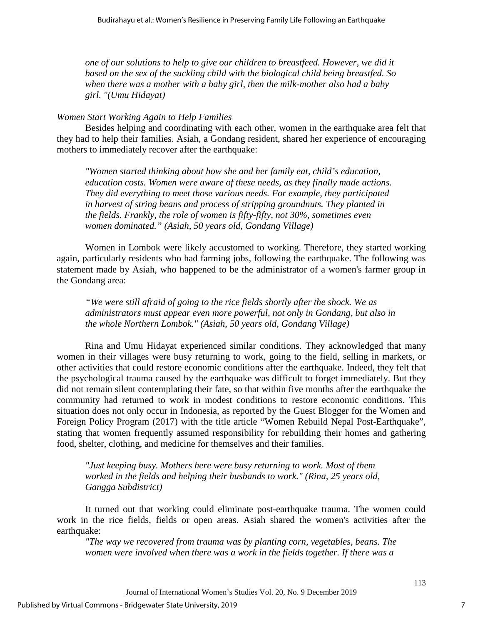*one of our solutions to help to give our children to breastfeed. However, we did it based on the sex of the suckling child with the biological child being breastfed. So when there was a mother with a baby girl, then the milk-mother also had a baby girl. "(Umu Hidayat)*

#### *Women Start Working Again to Help Families*

Besides helping and coordinating with each other, women in the earthquake area felt that they had to help their families. Asiah, a Gondang resident, shared her experience of encouraging mothers to immediately recover after the earthquake:

*"Women started thinking about how she and her family eat, child's education, education costs. Women were aware of these needs, as they finally made actions. They did everything to meet those various needs. For example, they participated in harvest of string beans and process of stripping groundnuts. They planted in the fields. Frankly, the role of women is fifty-fifty, not 30%, sometimes even women dominated." (Asiah, 50 years old, Gondang Village)* 

Women in Lombok were likely accustomed to working. Therefore, they started working again, particularly residents who had farming jobs, following the earthquake. The following was statement made by Asiah, who happened to be the administrator of a women's farmer group in the Gondang area:

*"We were still afraid of going to the rice fields shortly after the shock. We as administrators must appear even more powerful, not only in Gondang, but also in the whole Northern Lombok." (Asiah, 50 years old, Gondang Village)* 

Rina and Umu Hidayat experienced similar conditions. They acknowledged that many women in their villages were busy returning to work, going to the field, selling in markets, or other activities that could restore economic conditions after the earthquake. Indeed, they felt that the psychological trauma caused by the earthquake was difficult to forget immediately. But they did not remain silent contemplating their fate, so that within five months after the earthquake the community had returned to work in modest conditions to restore economic conditions. This situation does not only occur in Indonesia, as reported by the Guest Blogger for the Women and Foreign Policy Program (2017) with the title article "Women Rebuild Nepal Post-Earthquake", stating that women frequently assumed responsibility for rebuilding their homes and gathering food, shelter, clothing, and medicine for themselves and their families.

*"Just keeping busy. Mothers here were busy returning to work. Most of them worked in the fields and helping their husbands to work." (Rina, 25 years old, Gangga Subdistrict)* 

It turned out that working could eliminate post-earthquake trauma. The women could work in the rice fields, fields or open areas. Asiah shared the women's activities after the earthquake:

*"The way we recovered from trauma was by planting corn, vegetables, beans. The women were involved when there was a work in the fields together. If there was a*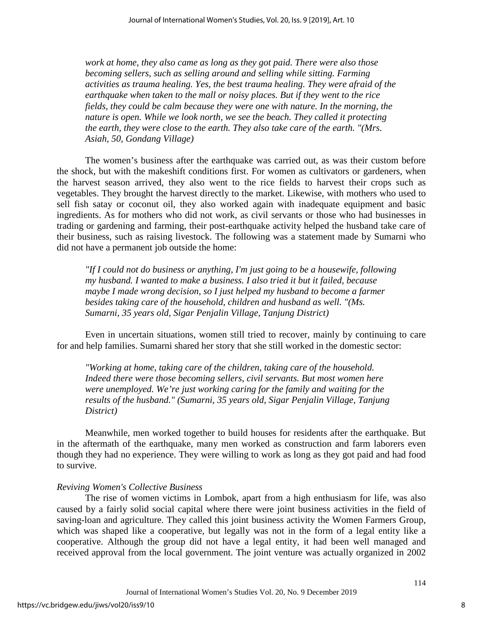*work at home, they also came as long as they got paid. There were also those becoming sellers, such as selling around and selling while sitting. Farming activities as trauma healing. Yes, the best trauma healing. They were afraid of the earthquake when taken to the mall or noisy places. But if they went to the rice fields, they could be calm because they were one with nature. In the morning, the nature is open. While we look north, we see the beach. They called it protecting the earth, they were close to the earth. They also take care of the earth. "(Mrs. Asiah, 50, Gondang Village)* 

The women's business after the earthquake was carried out, as was their custom before the shock, but with the makeshift conditions first. For women as cultivators or gardeners, when the harvest season arrived, they also went to the rice fields to harvest their crops such as vegetables. They brought the harvest directly to the market. Likewise, with mothers who used to sell fish satay or coconut oil, they also worked again with inadequate equipment and basic ingredients. As for mothers who did not work, as civil servants or those who had businesses in trading or gardening and farming, their post-earthquake activity helped the husband take care of their business, such as raising livestock. The following was a statement made by Sumarni who did not have a permanent job outside the home:

*"If I could not do business or anything, I'm just going to be a housewife, following my husband. I wanted to make a business. I also tried it but it failed, because maybe I made wrong decision, so I just helped my husband to become a farmer besides taking care of the household, children and husband as well. "(Ms. Sumarni, 35 years old, Sigar Penjalin Village, Tanjung District)* 

Even in uncertain situations, women still tried to recover, mainly by continuing to care for and help families. Sumarni shared her story that she still worked in the domestic sector:

*"Working at home, taking care of the children, taking care of the household. Indeed there were those becoming sellers, civil servants. But most women here were unemployed. We're just working caring for the family and waiting for the results of the husband." (Sumarni, 35 years old, Sigar Penjalin Village, Tanjung District)*

Meanwhile, men worked together to build houses for residents after the earthquake. But in the aftermath of the earthquake, many men worked as construction and farm laborers even though they had no experience. They were willing to work as long as they got paid and had food to survive.

#### *Reviving Women's Collective Business*

The rise of women victims in Lombok, apart from a high enthusiasm for life, was also caused by a fairly solid social capital where there were joint business activities in the field of saving-loan and agriculture. They called this joint business activity the Women Farmers Group, which was shaped like a cooperative, but legally was not in the form of a legal entity like a cooperative. Although the group did not have a legal entity, it had been well managed and received approval from the local government. The joint venture was actually organized in 2002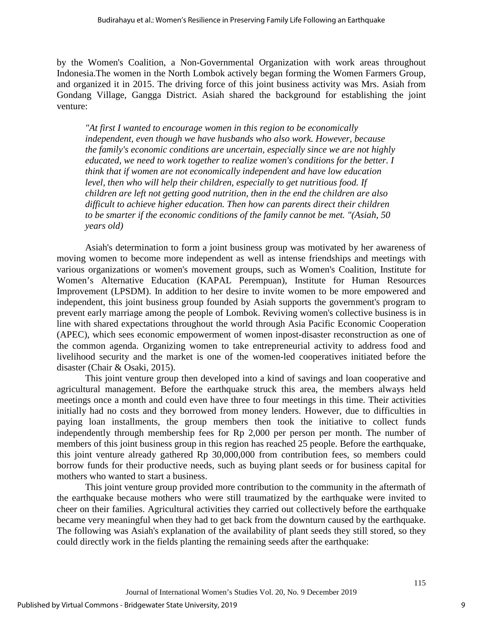by the Women's Coalition, a Non-Governmental Organization with work areas throughout Indonesia.The women in the North Lombok actively began forming the Women Farmers Group, and organized it in 2015. The driving force of this joint business activity was Mrs. Asiah from Gondang Village, Gangga District. Asiah shared the background for establishing the joint venture:

*"At first I wanted to encourage women in this region to be economically independent, even though we have husbands who also work. However, because the family's economic conditions are uncertain, especially since we are not highly educated, we need to work together to realize women's conditions for the better. I think that if women are not economically independent and have low education level, then who will help their children, especially to get nutritious food. If children are left not getting good nutrition, then in the end the children are also difficult to achieve higher education. Then how can parents direct their children to be smarter if the economic conditions of the family cannot be met. "(Asiah, 50 years old)*

Asiah's determination to form a joint business group was motivated by her awareness of moving women to become more independent as well as intense friendships and meetings with various organizations or women's movement groups, such as Women's Coalition, Institute for Women's Alternative Education (KAPAL Perempuan), Institute for Human Resources Improvement (LPSDM). In addition to her desire to invite women to be more empowered and independent, this joint business group founded by Asiah supports the government's program to prevent early marriage among the people of Lombok. Reviving women's collective business is in line with shared expectations throughout the world through Asia Pacific Economic Cooperation (APEC), which sees economic empowerment of women inpost-disaster reconstruction as one of the common agenda. Organizing women to take entrepreneurial activity to address food and livelihood security and the market is one of the women-led cooperatives initiated before the disaster (Chair & Osaki, 2015).

This joint venture group then developed into a kind of savings and loan cooperative and agricultural management. Before the earthquake struck this area, the members always held meetings once a month and could even have three to four meetings in this time. Their activities initially had no costs and they borrowed from money lenders. However, due to difficulties in paying loan installments, the group members then took the initiative to collect funds independently through membership fees for Rp 2,000 per person per month. The number of members of this joint business group in this region has reached 25 people. Before the earthquake, this joint venture already gathered Rp 30,000,000 from contribution fees, so members could borrow funds for their productive needs, such as buying plant seeds or for business capital for mothers who wanted to start a business.

This joint venture group provided more contribution to the community in the aftermath of the earthquake because mothers who were still traumatized by the earthquake were invited to cheer on their families. Agricultural activities they carried out collectively before the earthquake became very meaningful when they had to get back from the downturn caused by the earthquake. The following was Asiah's explanation of the availability of plant seeds they still stored, so they could directly work in the fields planting the remaining seeds after the earthquake: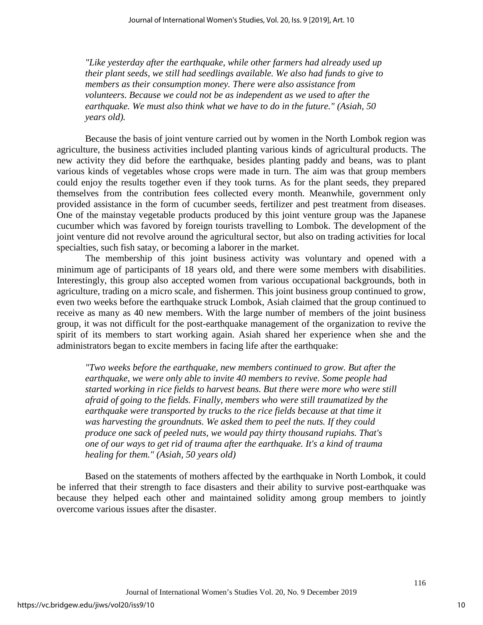*"Like yesterday after the earthquake, while other farmers had already used up their plant seeds, we still had seedlings available. We also had funds to give to members as their consumption money. There were also assistance from volunteers. Because we could not be as independent as we used to after the earthquake. We must also think what we have to do in the future." (Asiah, 50 years old).*

Because the basis of joint venture carried out by women in the North Lombok region was agriculture, the business activities included planting various kinds of agricultural products. The new activity they did before the earthquake, besides planting paddy and beans, was to plant various kinds of vegetables whose crops were made in turn. The aim was that group members could enjoy the results together even if they took turns. As for the plant seeds, they prepared themselves from the contribution fees collected every month. Meanwhile, government only provided assistance in the form of cucumber seeds, fertilizer and pest treatment from diseases. One of the mainstay vegetable products produced by this joint venture group was the Japanese cucumber which was favored by foreign tourists travelling to Lombok. The development of the joint venture did not revolve around the agricultural sector, but also on trading activities for local specialties, such fish satay, or becoming a laborer in the market.

The membership of this joint business activity was voluntary and opened with a minimum age of participants of 18 years old, and there were some members with disabilities. Interestingly, this group also accepted women from various occupational backgrounds, both in agriculture, trading on a micro scale, and fishermen. This joint business group continued to grow, even two weeks before the earthquake struck Lombok, Asiah claimed that the group continued to receive as many as 40 new members. With the large number of members of the joint business group, it was not difficult for the post-earthquake management of the organization to revive the spirit of its members to start working again. Asiah shared her experience when she and the administrators began to excite members in facing life after the earthquake:

*"Two weeks before the earthquake, new members continued to grow. But after the earthquake, we were only able to invite 40 members to revive. Some people had started working in rice fields to harvest beans. But there were more who were still afraid of going to the fields. Finally, members who were still traumatized by the earthquake were transported by trucks to the rice fields because at that time it was harvesting the groundnuts. We asked them to peel the nuts. If they could produce one sack of peeled nuts, we would pay thirty thousand rupiahs. That's one of our ways to get rid of trauma after the earthquake. It's a kind of trauma healing for them." (Asiah, 50 years old)* 

Based on the statements of mothers affected by the earthquake in North Lombok, it could be inferred that their strength to face disasters and their ability to survive post-earthquake was because they helped each other and maintained solidity among group members to jointly overcome various issues after the disaster.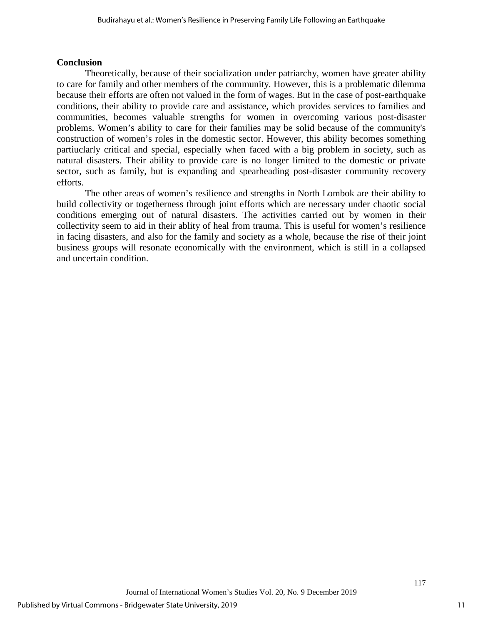# **Conclusion**

Theoretically, because of their socialization under patriarchy, women have greater ability to care for family and other members of the community. However, this is a problematic dilemma because their efforts are often not valued in the form of wages. But in the case of post-earthquake conditions, their ability to provide care and assistance, which provides services to families and communities, becomes valuable strengths for women in overcoming various post-disaster problems. Women's ability to care for their families may be solid because of the community's construction of women's roles in the domestic sector. However, this ability becomes something partiuclarly critical and special, especially when faced with a big problem in society, such as natural disasters. Their ability to provide care is no longer limited to the domestic or private sector, such as family, but is expanding and spearheading post-disaster community recovery efforts.

The other areas of women's resilience and strengths in North Lombok are their ability to build collectivity or togetherness through joint efforts which are necessary under chaotic social conditions emerging out of natural disasters. The activities carried out by women in their collectivity seem to aid in their ablity of heal from trauma. This is useful for women's resilience in facing disasters, and also for the family and society as a whole, because the rise of their joint business groups will resonate economically with the environment, which is still in a collapsed and uncertain condition.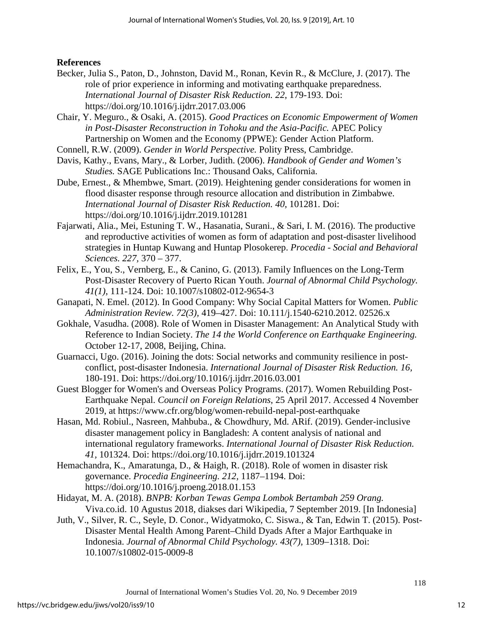# **References**

- Becker, Julia S., Paton, D., Johnston, David M., Ronan, Kevin R., & McClure, J. (2017). The role of prior experience in informing and motivating earthquake preparedness. *International Journal of Disaster Risk Reduction. 22*, 179-193. Doi: https://doi.org/10.1016/j.ijdrr.2017.03.006
- Chair, Y. Meguro., & Osaki, A. (2015). *Good Practices on Economic Empowerment of Women in Post-Disaster Reconstruction in Tohoku and the Asia-Pacific.* APEC Policy Partnership on Women and the Economy (PPWE): Gender Action Platform.
- Connell, R.W. (2009). *Gender in World Perspective.* Polity Press, Cambridge.
- Davis, Kathy., Evans, Mary., & Lorber, Judith. (2006). *Handbook of Gender and Women's Studies.* SAGE Publications Inc.: Thousand Oaks, California.
- Dube, Ernest., & Mhembwe, Smart. (2019). Heightening gender considerations for women in flood disaster response through resource allocation and distribution in Zimbabwe. *International Journal of Disaster Risk Reduction. 40*, 101281. Doi: <https://doi.org/10.1016/j.ijdrr.2019.101281>
- Fajarwati, Alia., Mei, Estuning T. W., Hasanatia, Surani., & Sari, I. M. (2016). The productive and reproductive activities of women as form of adaptation and post-disaster livelihood strategies in Huntap Kuwang and Huntap Plosokerep. *Procedia - Social and Behavioral Sciences. 227,* 370 – 377.
- Felix, E., You, S., Vernberg, E., & Canino, G. (2013). Family Influences on the Long-Term Post-Disaster Recovery of Puerto Rican Youth. *Journal of Abnormal Child Psychology. 41(1)*, 111-124. Doi: 10.1007/s10802-012-9654-3
- Ganapati, N. Emel. (2012). In Good Company: Why Social Capital Matters for Women. *Public Administration Review. 72(3),* 419–427. Doi: 10.111/j.1540-6210.2012. 02526.x
- Gokhale, Vasudha. (2008). Role of Women in Disaster Management: An Analytical Study with Reference to Indian Society. *The 14 the World Conference on Earthquake Engineering.*  October 12-17, 2008, Beijing, China.
- Guarnacci, Ugo. (2016). Joining the dots: Social networks and community resilience in postconflict, post-disaster Indonesia. *International Journal of Disaster Risk Reduction. 16,* 180-191. Doi:<https://doi.org/10.1016/j.ijdrr.2016.03.001>
- Guest Blogger for Women's and Overseas Policy Programs. (2017). Women Rebuilding Post-Earthquake Nepal. *Council on Foreign Relations*, 25 April 2017. Accessed 4 November 2019, at https://www.cfr.org/blog/women-rebuild-nepal-post-earthquake
- Hasan, Md. Robiul., Nasreen, Mahbuba., & Chowdhury, Md. ARif. (2019). Gender-inclusive disaster management policy in Bangladesh: A content analysis of national and international regulatory frameworks. *International Journal of Disaster Risk Reduction. 41,* 101324. Doi:<https://doi.org/10.1016/j.ijdrr.2019.101324>
- Hemachandra, K., Amaratunga, D., & Haigh, R. (2018). Role of women in disaster risk governance. *Procedia Engineering. 212,* 1187–1194. Doi: <https://doi.org/10.1016/j.proeng.2018.01.153>
- Hidayat, M. A. (2018). *BNPB: Korban Tewas Gempa Lombok Bertambah 259 Orang.* Viva.co.id. 10 Agustus 2018, diakses dari Wikipedia, 7 September 2019. [In Indonesia]
- Juth, V., Silver, R. C., Seyle, D. Conor., Widyatmoko, C. Siswa., & Tan, Edwin T. (2015). Post-Disaster Mental Health Among Parent–Child Dyads After a Major Earthquake in Indonesia. *Journal of Abnormal Child Psychology. 43(7),* 1309–1318. Doi: 10.1007/s10802-015-0009-8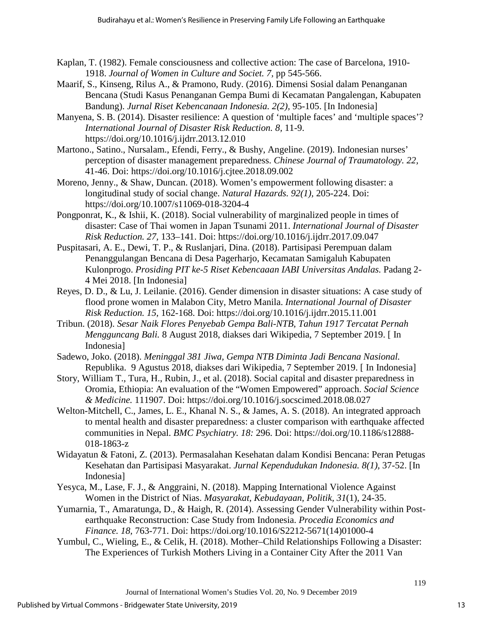- Kaplan, T. (1982). Female consciousness and collective action: The case of Barcelona, 1910- 1918. *Journal of Women in Culture and Societ. 7,* pp 545-566.
- Maarif, S., Kinseng, Rilus A., & Pramono, Rudy. (2016). Dimensi Sosial dalam Penanganan Bencana (Studi Kasus Penanganan Gempa Bumi di Kecamatan Pangalengan, Kabupaten Bandung). *Jurnal Riset Kebencanaan Indonesia. 2(2),* 95-105. [In Indonesia]
- Manyena, S. B. (2014). Disaster resilience: A question of 'multiple faces' and 'multiple spaces'? *International Journal of Disaster Risk Reduction. 8,* 11-9. <https://doi.org/10.1016/j.ijdrr.2013.12.010>
- Martono., Satino., Nursalam., Efendi, Ferry., & Bushy, Angeline. (2019). Indonesian nurses' perception of disaster management preparedness. *Chinese Journal of Traumatology. 22,*  41-46. Doi:<https://doi.org/10.1016/j.cjtee.2018.09.002>
- Moreno, Jenny., & Shaw, Duncan. (2018). Women's empowerment following disaster: a longitudinal study of social change. *Natural Hazards. 92(1),* 205-224. Doi: <https://doi.org/10.1007/s11069-018-3204-4>
- Pongponrat, K., & Ishii, K. (2018). Social vulnerability of marginalized people in times of disaster: Case of Thai women in Japan Tsunami 2011. *International Journal of Disaster Risk Reduction. 27,* 133–141. Doi:<https://doi.org/10.1016/j.ijdrr.2017.09.047>
- Puspitasari, A. E., Dewi, T. P., & Ruslanjari, Dina. (2018). Partisipasi Perempuan dalam Penanggulangan Bencana di Desa Pagerharjo, Kecamatan Samigaluh Kabupaten Kulonprogo. *Prosiding PIT ke-5 Riset Kebencaaan IABI Universitas Andalas.* Padang 2- 4 Mei 2018. [In Indonesia]
- Reyes, D. D., & Lu, J. Leilanie. (2016). Gender dimension in disaster situations: A case study of flood prone women in Malabon City, Metro Manila. *International Journal of Disaster Risk Reduction. 15,* 162-168. Doi:<https://doi.org/10.1016/j.ijdrr.2015.11.001>
- Tribun. (2018). *Sesar Naik Flores Penyebab Gempa Bali-NTB, Tahun 1917 Tercatat Pernah Mengguncang Bali.* 8 August 2018, diakses dari Wikipedia, 7 September 2019. [ In Indonesia]
- Sadewo, Joko. (2018). *Meninggal 381 Jiwa, Gempa NTB Diminta Jadi Bencana Nasional.*  Republika. 9 Agustus 2018, diakses dari Wikipedia, 7 September 2019. [ In Indonesia]
- Story, William T., Tura, H., Rubin, J., et al. (2018). Social capital and disaster preparedness in Oromia, Ethiopia: An evaluation of the "Women Empowered" approach. *Social Science & Medicine.* 111907. Doi:<https://doi.org/10.1016/j.socscimed.2018.08.027>
- Welton-Mitchell, C., James, L. E., Khanal N. S., & James, A. S. (2018). An integrated approach to mental health and disaster preparedness: a cluster comparison with earthquake affected communities in Nepal. *BMC Psychiatry. 18:* 296. Doi: https://doi.org/10.1186/s12888- 018-1863-z
- Widayatun & Fatoni, Z. (2013). Permasalahan Kesehatan dalam Kondisi Bencana: Peran Petugas Kesehatan dan Partisipasi Masyarakat. *Jurnal Kependudukan Indonesia. 8(1),* 37-52. [In Indonesia]
- Yesyca, M., Lase, F. J., & Anggraini, N. (2018). Mapping International Violence Against Women in the District of Nias. *Masyarakat, Kebudayaan, Politik, 31*(1), 24-35.
- Yumarnia, T., Amaratunga, D., & Haigh, R. (2014). Assessing Gender Vulnerability within Postearthquake Reconstruction: Case Study from Indonesia. *Procedia Economics and Finance. 18,* 763-771. Doi: https://doi.org/10.1016/S2212-5671(14)01000-4
- Yumbul, C., Wieling, E., & Celik, H. (2018). Mother–Child Relationships Following a Disaster: The Experiences of Turkish Mothers Living in a Container City After the 2011 Van